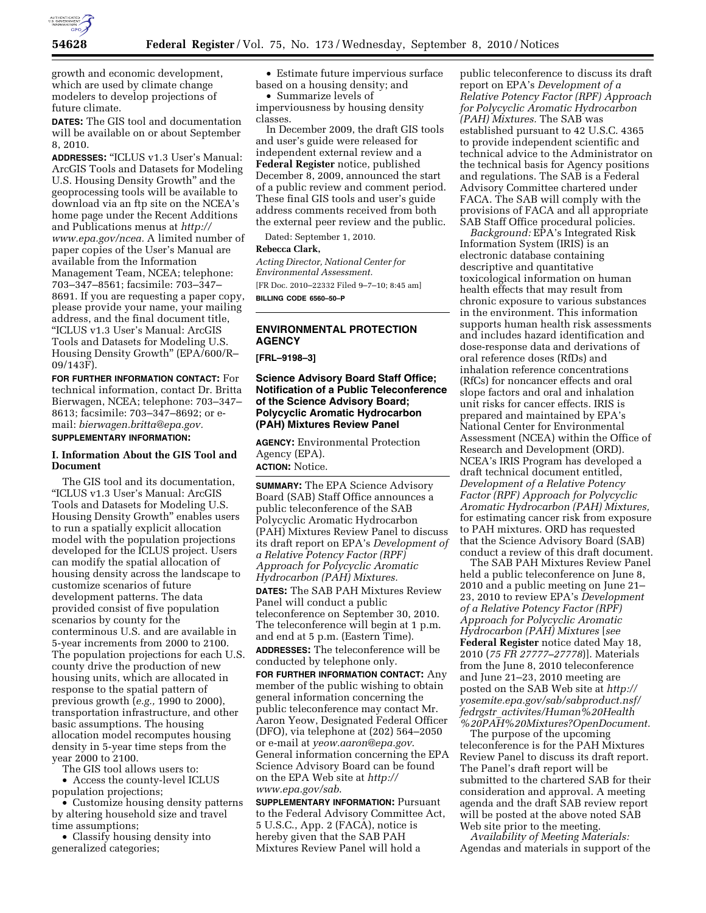

growth and economic development, which are used by climate change modelers to develop projections of future climate.

**DATES:** The GIS tool and documentation will be available on or about September 8, 2010.

**ADDRESSES:** ''ICLUS v1.3 User's Manual: ArcGIS Tools and Datasets for Modeling U.S. Housing Density Growth'' and the geoprocessing tools will be available to download via an ftp site on the NCEA's home page under the Recent Additions and Publications menus at *[http://](http://www.epa.gov/ncea) [www.epa.gov/ncea.](http://www.epa.gov/ncea)* A limited number of paper copies of the User's Manual are available from the Information Management Team, NCEA; telephone: 703–347–8561; facsimile: 703–347– 8691. If you are requesting a paper copy, please provide your name, your mailing address, and the final document title, ''ICLUS v1.3 User's Manual: ArcGIS Tools and Datasets for Modeling U.S. Housing Density Growth'' (EPA/600/R– 09/143F).

**FOR FURTHER INFORMATION CONTACT:** For technical information, contact Dr. Britta Bierwagen, NCEA; telephone: 703–347– 8613; facsimile: 703–347–8692; or email: *[bierwagen.britta@epa.gov.](mailto:bierwagen.britta@epa.gov)*  **SUPPLEMENTARY INFORMATION:** 

# **I. Information About the GIS Tool and Document**

The GIS tool and its documentation, ''ICLUS v1.3 User's Manual: ArcGIS Tools and Datasets for Modeling U.S. Housing Density Growth'' enables users to run a spatially explicit allocation model with the population projections developed for the ICLUS project. Users can modify the spatial allocation of housing density across the landscape to customize scenarios of future development patterns. The data provided consist of five population scenarios by county for the conterminous U.S. and are available in 5-year increments from 2000 to 2100. The population projections for each U.S. county drive the production of new housing units, which are allocated in response to the spatial pattern of previous growth (*e.g.,* 1990 to 2000), transportation infrastructure, and other basic assumptions. The housing allocation model recomputes housing density in 5-year time steps from the year 2000 to 2100.

The GIS tool allows users to:

• Access the county-level ICLUS population projections;

• Customize housing density patterns by altering household size and travel time assumptions;

• Classify housing density into generalized categories;

• Estimate future impervious surface based on a housing density; and

• Summarize levels of imperviousness by housing density classes.

In December 2009, the draft GIS tools and user's guide were released for independent external review and a **Federal Register** notice, published December 8, 2009, announced the start of a public review and comment period. These final GIS tools and user's guide address comments received from both the external peer review and the public.

Dated: September 1, 2010.

#### **Rebecca Clark,**

*Acting Director, National Center for Environmental Assessment.*  [FR Doc. 2010–22332 Filed 9–7–10; 8:45 am] **BILLING CODE 6560–50–P** 

# **ENVIRONMENTAL PROTECTION AGENCY**

**[FRL–9198–3]** 

## **Science Advisory Board Staff Office; Notification of a Public Teleconference of the Science Advisory Board; Polycyclic Aromatic Hydrocarbon (PAH) Mixtures Review Panel**

**AGENCY:** Environmental Protection Agency (EPA). **ACTION:** Notice.

**SUMMARY:** The EPA Science Advisory Board (SAB) Staff Office announces a public teleconference of the SAB Polycyclic Aromatic Hydrocarbon (PAH) Mixtures Review Panel to discuss its draft report on EPA's *Development of a Relative Potency Factor (RPF) Approach for Polycyclic Aromatic Hydrocarbon (PAH) Mixtures.*  **DATES:** The SAB PAH Mixtures Review Panel will conduct a public teleconference on September 30, 2010. The teleconference will begin at 1 p.m. and end at 5 p.m. (Eastern Time). **ADDRESSES:** The teleconference will be conducted by telephone only.

**FOR FURTHER INFORMATION CONTACT:** Any member of the public wishing to obtain general information concerning the public teleconference may contact Mr. Aaron Yeow, Designated Federal Officer (DFO), via telephone at (202) 564–2050 or e-mail at *[yeow.aaron@epa.gov](mailto:yeow.aaron@epa.gov)*. General information concerning the EPA Science Advisory Board can be found on the EPA Web site at *[http://](http://www.epa.gov/sab) [www.epa.gov/sab](http://www.epa.gov/sab)*.

**SUPPLEMENTARY INFORMATION:** Pursuant to the Federal Advisory Committee Act, 5 U.S.C., App. 2 (FACA), notice is hereby given that the SAB PAH Mixtures Review Panel will hold a

public teleconference to discuss its draft report on EPA's *Development of a Relative Potency Factor (RPF) Approach for Polycyclic Aromatic Hydrocarbon (PAH) Mixtures.* The SAB was established pursuant to 42 U.S.C. 4365 to provide independent scientific and technical advice to the Administrator on the technical basis for Agency positions and regulations. The SAB is a Federal Advisory Committee chartered under FACA. The SAB will comply with the provisions of FACA and all appropriate SAB Staff Office procedural policies.

*Background:* EPA's Integrated Risk Information System (IRIS) is an electronic database containing descriptive and quantitative toxicological information on human health effects that may result from chronic exposure to various substances in the environment. This information supports human health risk assessments and includes hazard identification and dose-response data and derivations of oral reference doses (RfDs) and inhalation reference concentrations (RfCs) for noncancer effects and oral slope factors and oral and inhalation unit risks for cancer effects. IRIS is prepared and maintained by EPA's National Center for Environmental Assessment (NCEA) within the Office of Research and Development (ORD). NCEA's IRIS Program has developed a draft technical document entitled, *Development of a Relative Potency Factor (RPF) Approach for Polycyclic Aromatic Hydrocarbon (PAH) Mixtures,*  for estimating cancer risk from exposure to PAH mixtures. ORD has requested that the Science Advisory Board (SAB) conduct a review of this draft document.

The SAB PAH Mixtures Review Panel held a public teleconference on June 8, 2010 and a public meeting on June 21– 23, 2010 to review EPA's *Development of a Relative Potency Factor (RPF) Approach for Polycyclic Aromatic Hydrocarbon (PAH) Mixtures* [*see*  **Federal Register** notice dated May 18, 2010 (*75 FR 27777–27778*)]. Materials from the June 8, 2010 teleconference and June 21–23, 2010 meeting are posted on the SAB Web site at *[http://](http://yosemite.epa.gov/sab/sabproduct.nsf/fedrgstr_activites/Human%20Health%20PAH%20Mixtures?OpenDocument) [yosemite.epa.gov/sab/sabproduct.nsf/](http://yosemite.epa.gov/sab/sabproduct.nsf/fedrgstr_activites/Human%20Health%20PAH%20Mixtures?OpenDocument) fedrgstr*\_*[activites/Human%20Health](http://yosemite.epa.gov/sab/sabproduct.nsf/fedrgstr_activites/Human%20Health%20PAH%20Mixtures?OpenDocument) [%20PAH%20Mixtures?OpenDocument.](http://yosemite.epa.gov/sab/sabproduct.nsf/fedrgstr_activites/Human%20Health%20PAH%20Mixtures?OpenDocument)* 

The purpose of the upcoming teleconference is for the PAH Mixtures Review Panel to discuss its draft report. The Panel's draft report will be submitted to the chartered SAB for their consideration and approval. A meeting agenda and the draft SAB review report will be posted at the above noted SAB Web site prior to the meeting.

*Availability of Meeting Materials:*  Agendas and materials in support of the